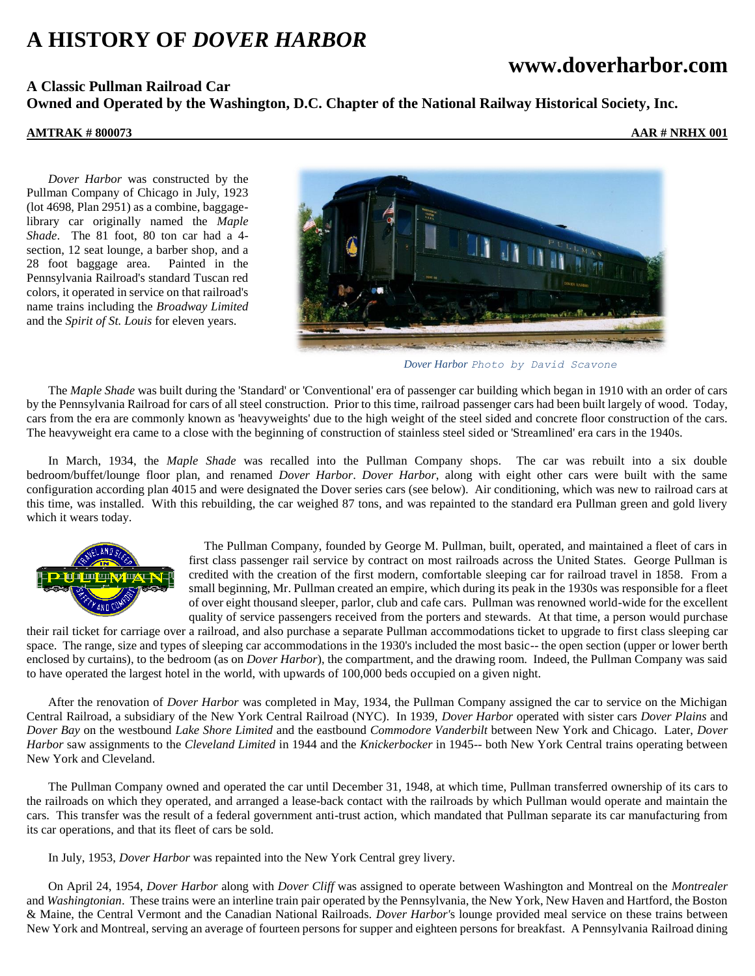# **A HISTORY OF** *DOVER HARBOR*

## **www.doverharbor.com**

## **A Classic Pullman Railroad Car Owned and Operated by the Washington, D.C. Chapter of the National Railway Historical Society, Inc.**

### **AMTRAK # 800073 AAR # NRHX 001**

*Dover Harbor* was constructed by the Pullman Company of Chicago in July, 1923 (lot 4698, Plan 2951) as a combine, baggagelibrary car originally named the *Maple Shade*. The 81 foot, 80 ton car had a 4 section, 12 seat lounge, a barber shop, and a 28 foot baggage area. Painted in the Pennsylvania Railroad's standard Tuscan red colors, it operated in service on that railroad's name trains including the *Broadway Limited* and the *Spirit of St. Louis* for eleven years.



*Dover Harbor Photo by David Scavone*

The *Maple Shade* was built during the 'Standard' or 'Conventional' era of passenger car building which began in 1910 with an order of cars by the Pennsylvania Railroad for cars of all steel construction. Prior to this time, railroad passenger cars had been built largely of wood. Today, cars from the era are commonly known as 'heavyweights' due to the high weight of the steel sided and concrete floor construction of the cars. The heavyweight era came to a close with the beginning of construction of stainless steel sided or 'Streamlined' era cars in the 1940s.

In March, 1934, the *Maple Shade* was recalled into the Pullman Company shops. The car was rebuilt into a six double bedroom/buffet/lounge floor plan, and renamed *Dover Harbor*. *Dover Harbor*, along with eight other cars were built with the same configuration according plan 4015 and were designated the Dover series cars (see below). Air conditioning, which was new to railroad cars at this time, was installed. With this rebuilding, the car weighed 87 tons, and was repainted to the standard era Pullman green and gold livery which it wears today.



The Pullman Company, founded by George M. Pullman, built, operated, and maintained a fleet of cars in first class passenger rail service by contract on most railroads across the United States. George Pullman is credited with the creation of the first modern, comfortable sleeping car for railroad travel in 1858. From a small beginning, Mr. Pullman created an empire, which during its peak in the 1930s was responsible for a fleet of over eight thousand sleeper, parlor, club and cafe cars. Pullman was renowned world-wide for the excellent quality of service passengers received from the porters and stewards. At that time, a person would purchase

their rail ticket for carriage over a railroad, and also purchase a separate Pullman accommodations ticket to upgrade to first class sleeping car space. The range, size and types of sleeping car accommodations in the 1930's included the most basic-- the open section (upper or lower berth enclosed by curtains), to the bedroom (as on *Dover Harbor*), the compartment, and the drawing room. Indeed, the Pullman Company was said to have operated the largest hotel in the world, with upwards of 100,000 beds occupied on a given night.

After the renovation of *Dover Harbor* was completed in May, 1934, the Pullman Company assigned the car to service on the Michigan Central Railroad, a subsidiary of the New York Central Railroad (NYC). In 1939, *Dover Harbor* operated with sister cars *Dover Plains* and *Dover Bay* on the westbound *Lake Shore Limited* and the eastbound *Commodore Vanderbilt* between New York and Chicago. Later, *Dover Harbor* saw assignments to the *Cleveland Limited* in 1944 and the *Knickerbocker* in 1945-- both New York Central trains operating between New York and Cleveland.

The Pullman Company owned and operated the car until December 31, 1948, at which time, Pullman transferred ownership of its cars to the railroads on which they operated, and arranged a lease-back contact with the railroads by which Pullman would operate and maintain the cars. This transfer was the result of a federal government anti-trust action, which mandated that Pullman separate its car manufacturing from its car operations, and that its fleet of cars be sold.

In July, 1953, *Dover Harbor* was repainted into the New York Central grey livery.

On April 24, 1954, *Dover Harbor* along with *Dover Cliff* was assigned to operate between Washington and Montreal on the *Montrealer* and *Washingtonian*. These trains were an interline train pair operated by the Pennsylvania, the New York, New Haven and Hartford, the Boston & Maine, the Central Vermont and the Canadian National Railroads. *Dover Harbor'*s lounge provided meal service on these trains between New York and Montreal, serving an average of fourteen persons for supper and eighteen persons for breakfast. A Pennsylvania Railroad dining